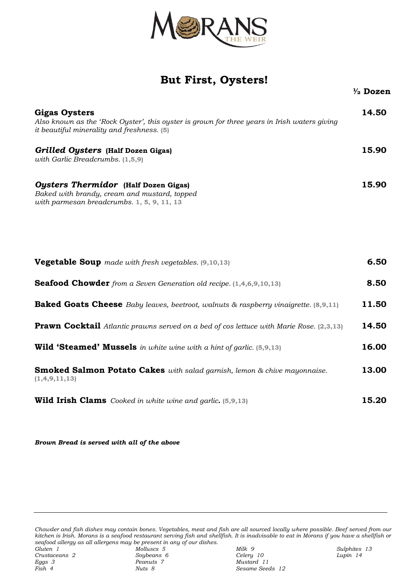

## **But First, Oysters!**

| <b>Gigas Oysters</b><br>Also known as the 'Rock Oyster', this oyster is grown for three years in Irish waters giving<br>it beautiful minerality and freshness. (5) | 14.50 |
|--------------------------------------------------------------------------------------------------------------------------------------------------------------------|-------|
| Grilled Oysters (Half Dozen Gigas)<br>with Garlic Breadcrumbs. (1,5,9)                                                                                             | 15.90 |
| <b>Oysters Thermidor</b> (Half Dozen Gigas)<br>Baked with brandy, cream and mustard, topped<br>with parmesan breadcrumbs. 1, 5, 9, 11, 13                          | 15.90 |

| <b>Vegetable Soup</b> made with fresh vegetables. (9,10,13)                                      | 6.50  |
|--------------------------------------------------------------------------------------------------|-------|
| <b>Seafood Chowder</b> from a Seven Generation old recipe. (1,4,6,9,10,13)                       | 8.50  |
| <b>Baked Goats Cheese</b> Baby leaves, beetroot, walnuts & raspberry vinaigrette. (8,9,11)       | 11.50 |
| <b>Prawn Cocktail</b> Atlantic prawns served on a bed of cos lettuce with Marie Rose. (2,3,13)   | 14.50 |
| <b>Wild 'Steamed' Mussels</b> in white wine with a hint of garlic. (5,9,13)                      | 16.00 |
| <b>Smoked Salmon Potato Cakes</b> with salad garnish, lemon & chive mayonnaise.<br>(1,4,9,11,13) | 13.00 |
| <b>Wild Irish Clams</b> Cooked in white wine and garlic. (5,9,13)                                | 15.20 |

*Brown Bread is served with all of the above*

*Chowder and fish dishes may contain bones. Vegetables, meat and fish are all sourced locally where possible. Beef served from our kitchen is Irish. Morans is a seafood restaurant serving fish and shellfish. It is inadvisable to eat in Morans if you have a shellfish or seafood allergy as all allergens may be present in any of our dishes. Gluten 1 Molluscs 5 Milk 9 Sulphites 13*

*Crustaceans 2 Soybeans 6 Celery 10 Lupin 14 Fish 4 Nuts 8 Sesame Seeds 12*

**½ Dozen**